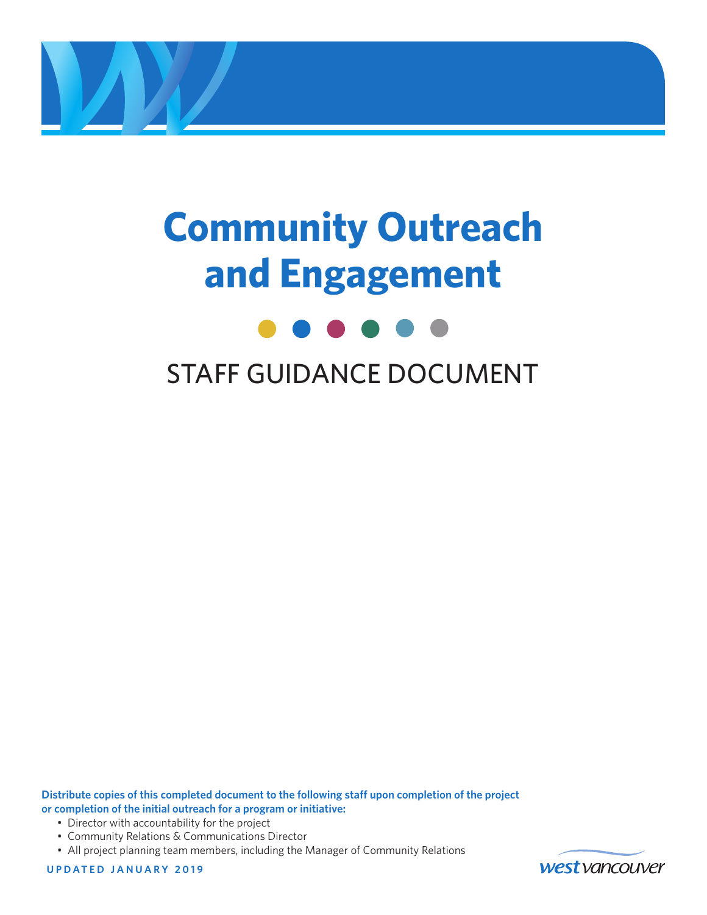

# **Community Outreach and Engagement**



### STAFF GUIDANCE DOCUMENT

**Distribute copies of this completed document to the following staff upon completion of the project or completion of the initial outreach for a program or initiative:**

- Director with accountability for the project
- Community Relations & Communications Director
- All project planning team members, including the Manager of Community Relations

**UPDATED JANUARY 2019**

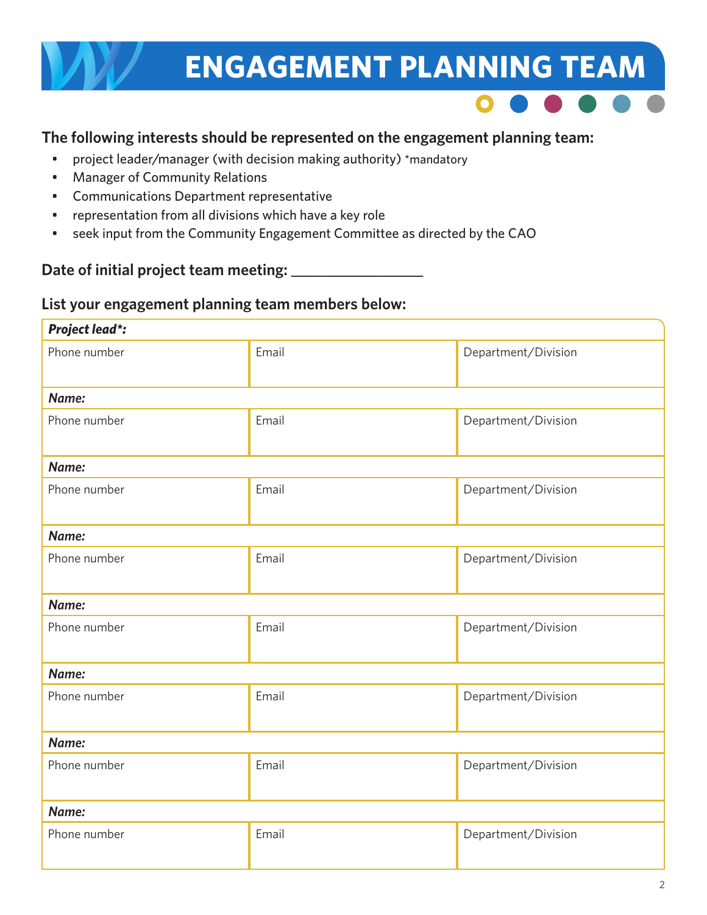# **ENGAGEMENT PLANNING TEAM**



### **The following interests should be represented on the engagement planning team:**

- project leader/manager (with decision making authority) \*mandatory
- Manager of Community Relations
- Communications Department representative
- representation from all divisions which have a key role
- seek input from the Community Engagement Committee as directed by the CAO

### Date of initial project team meeting:

### **List your engagement planning team members below:**

| <b>Project lead*:</b> |       |                     |
|-----------------------|-------|---------------------|
| Phone number          | Email | Department/Division |
| Name:                 |       |                     |
| Phone number          | Email | Department/Division |
| Name:                 |       |                     |
| Phone number          | Email | Department/Division |
| Name:                 |       |                     |
| Phone number          | Email | Department/Division |
| Name:                 |       |                     |
| Phone number          | Email | Department/Division |
| Name:                 |       |                     |
| Phone number          | Email | Department/Division |
| Name:                 |       |                     |
| Phone number          | Email | Department/Division |
| Name:                 |       |                     |
| Phone number          | Email | Department/Division |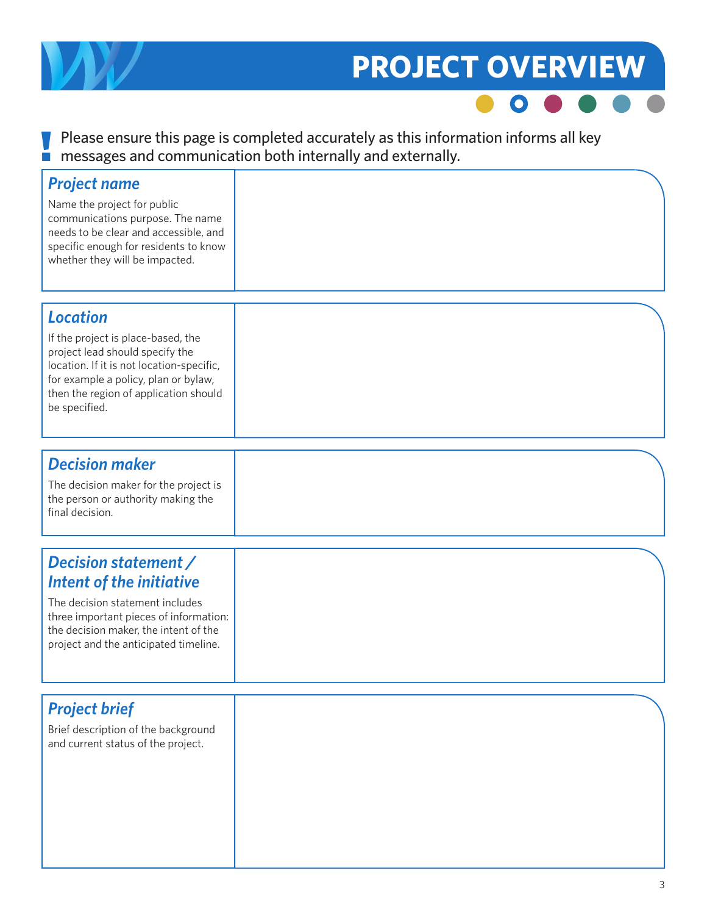

### **PROJECT OVERVIEW**



### $\blacksquare$  Please ensure this page is completed accurately as this information informs all key<br>messages and communication both internally and externally. messages and communication both internally and externally.

| <b>Project name</b><br>Name the project for public<br>communications purpose. The name<br>needs to be clear and accessible, and<br>specific enough for residents to know<br>whether they will be impacted.                              |  |
|-----------------------------------------------------------------------------------------------------------------------------------------------------------------------------------------------------------------------------------------|--|
| <b>Location</b><br>If the project is place-based, the<br>project lead should specify the<br>location. If it is not location-specific,<br>for example a policy, plan or bylaw,<br>then the region of application should<br>be specified. |  |
| <b>Decision maker</b><br>The decision maker for the project is<br>the person or authority making the<br>final decision.                                                                                                                 |  |
| Decision statement /<br><b>Intent of the initiative</b><br>The decision statement includes<br>three important pieces of information:<br>the decision maker, the intent of the<br>project and the anticipated timeline.                  |  |
| <b>Project brief</b><br>Brief description of the background<br>and current status of the project.                                                                                                                                       |  |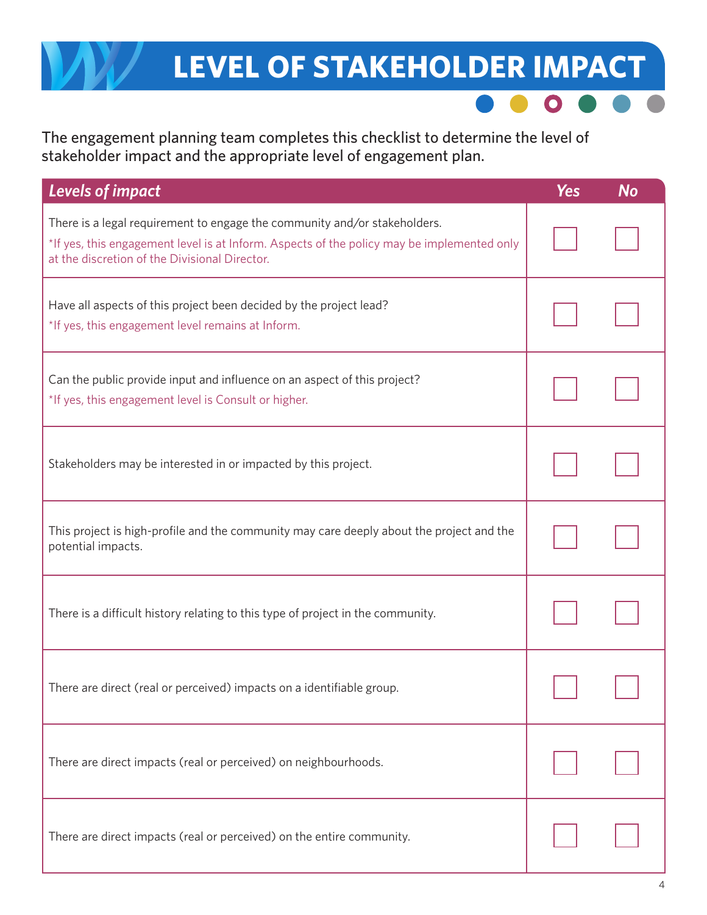### **LEVEL OF STAKEHOLDER IMPACT**

The engagement planning team completes this checklist to determine the level of stakeholder impact and the appropriate level of engagement plan.

| <b>Levels of impact</b>                                                                                                                                                                                                  | <b>Yes</b> | <b>No</b> |
|--------------------------------------------------------------------------------------------------------------------------------------------------------------------------------------------------------------------------|------------|-----------|
| There is a legal requirement to engage the community and/or stakeholders.<br>*If yes, this engagement level is at Inform. Aspects of the policy may be implemented only<br>at the discretion of the Divisional Director. |            |           |
| Have all aspects of this project been decided by the project lead?<br>*If yes, this engagement level remains at Inform.                                                                                                  |            |           |
| Can the public provide input and influence on an aspect of this project?<br>*If yes, this engagement level is Consult or higher.                                                                                         |            |           |
| Stakeholders may be interested in or impacted by this project.                                                                                                                                                           |            |           |
| This project is high-profile and the community may care deeply about the project and the<br>potential impacts.                                                                                                           |            |           |
| There is a difficult history relating to this type of project in the community.                                                                                                                                          |            |           |
| There are direct (real or perceived) impacts on a identifiable group.                                                                                                                                                    |            |           |
| There are direct impacts (real or perceived) on neighbourhoods.                                                                                                                                                          |            |           |
| There are direct impacts (real or perceived) on the entire community.                                                                                                                                                    |            |           |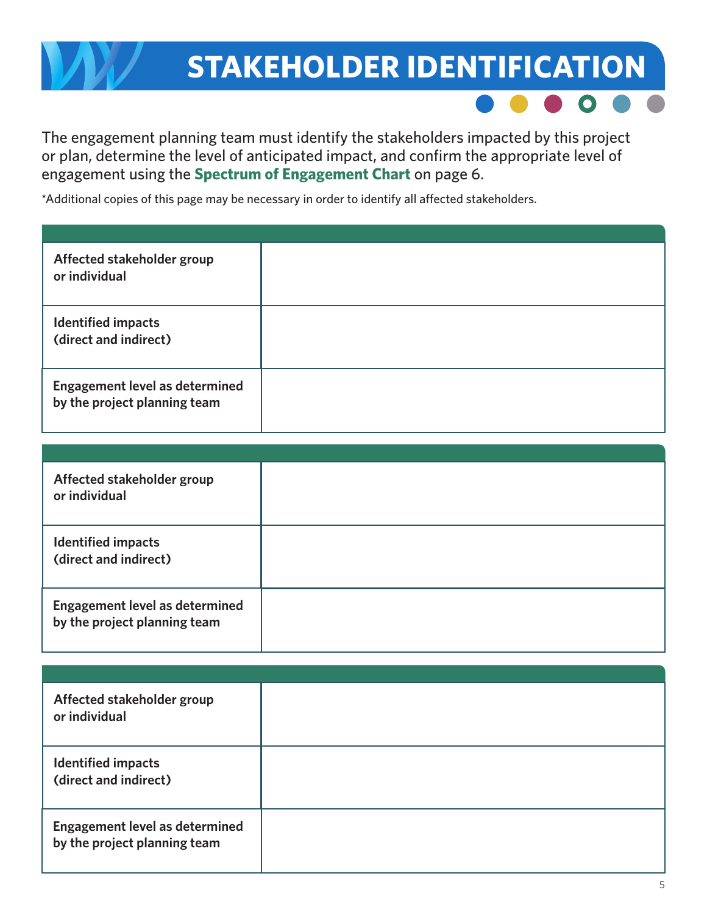## **STAKEHOLDER IDENTIFICATION**



The engagement planning team must identify the stakeholders impacted by this project or plan, determine the level of anticipated impact, and confirm the appropriate level of engagement using the **Spectrum of Engagement Chart** on page 6.

\*Additional copies of this page may be necessary in order to identify all affected stakeholders.

| Affected stakeholder group<br>or individual                           |  |
|-----------------------------------------------------------------------|--|
| <b>Identified impacts</b><br>(direct and indirect)                    |  |
| <b>Engagement level as determined</b><br>by the project planning team |  |

| Affected stakeholder group<br>or individual                           |  |
|-----------------------------------------------------------------------|--|
| <b>Identified impacts</b><br>(direct and indirect)                    |  |
| <b>Engagement level as determined</b><br>by the project planning team |  |

| Affected stakeholder group<br>or individual                           |  |
|-----------------------------------------------------------------------|--|
| <b>Identified impacts</b><br>(direct and indirect)                    |  |
| <b>Engagement level as determined</b><br>by the project planning team |  |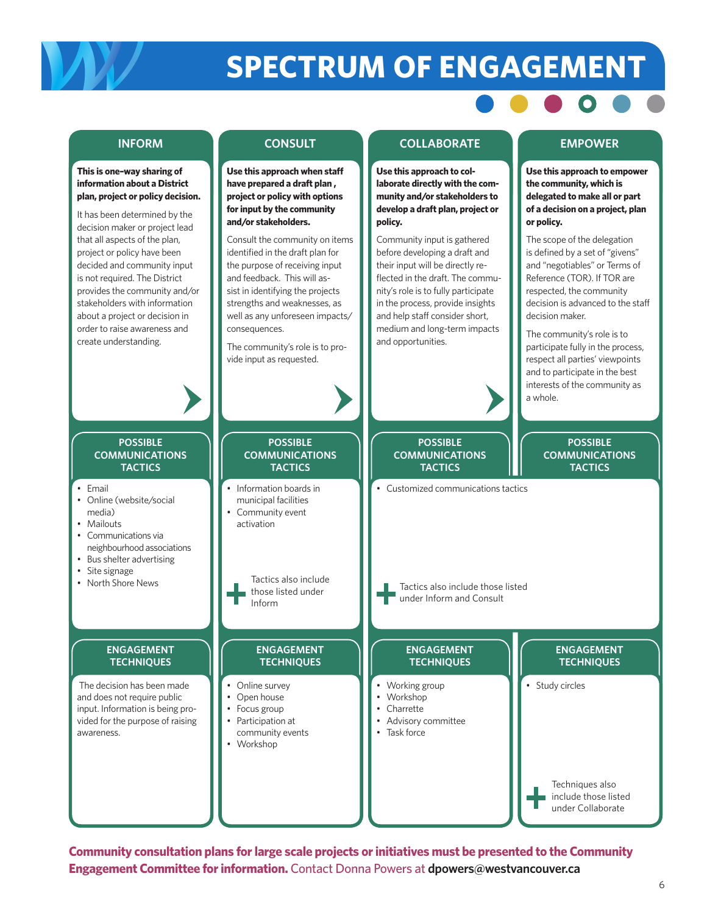# **SPECTRUM OF ENGAGEMENT**



**Community consultation plans for large scale projects or initiatives must be presented to the Community Engagement Committee for information.** Contact Donna Powers at **dpowers@westvancouver.ca**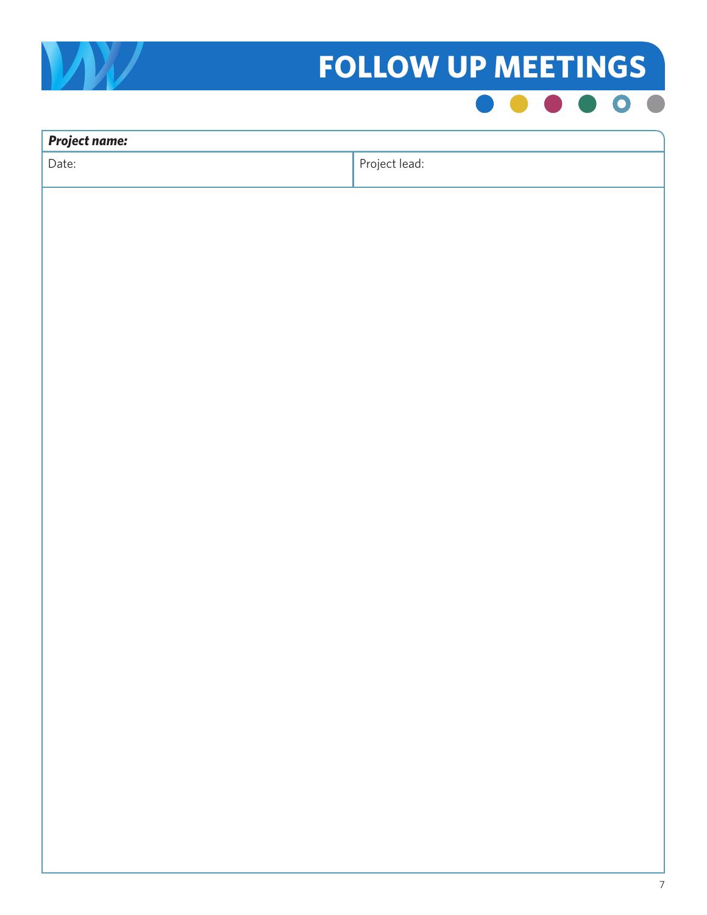

# **FOLLOW UP MEETINGS**



| <b>Project name:</b> |               |
|----------------------|---------------|
| Date:                | Project lead: |
|                      |               |
|                      |               |
|                      |               |
|                      |               |
|                      |               |
|                      |               |
|                      |               |
|                      |               |
|                      |               |
|                      |               |
|                      |               |
|                      |               |
|                      |               |
|                      |               |
|                      |               |
|                      |               |
|                      |               |
|                      |               |
|                      |               |
|                      |               |